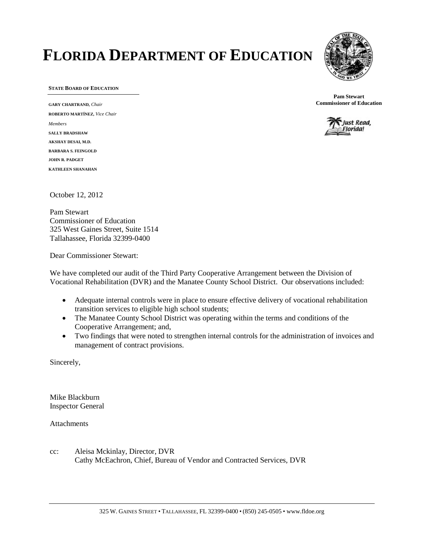# **FLORIDA DEPARTMENT OF EDUCATION**



**STATE BOARD OF EDUCATION**

**GARY CHARTRAND,** *Chair* **ROBERTO MARTÍNEZ,** *Vice Chair Members* **SALLY BRADSHAW AKSHAY DESAI, M.D. BARBARA S. FEINGOLD JOHN R. PADGET KATHLEEN SHANAHAN**

**Pam Stewart Commissioner of Education**



October 12, 2012

Pam Stewart Commissioner of Education 325 West Gaines Street, Suite 1514 Tallahassee, Florida 32399-0400

Dear Commissioner Stewart:

We have completed our audit of the Third Party Cooperative Arrangement between the Division of Vocational Rehabilitation (DVR) and the Manatee County School District. Our observations included:

- Adequate internal controls were in place to ensure effective delivery of vocational rehabilitation transition services to eligible high school students;
- The Manatee County School District was operating within the terms and conditions of the Cooperative Arrangement; and,
- Two findings that were noted to strengthen internal controls for the administration of invoices and management of contract provisions.

Sincerely,

Mike Blackburn Inspector General

Attachments

cc: Aleisa Mckinlay, Director, DVR Cathy McEachron, Chief, Bureau of Vendor and Contracted Services, DVR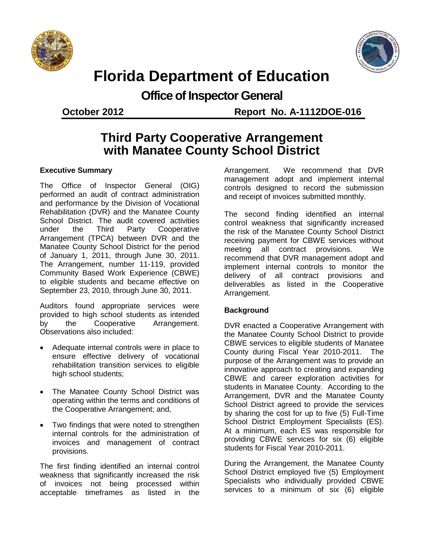



## **Florida Department of Education**

**Office of Inspector General**

**October 2012 Report No. A-1112DOE-016**

### **Third Party Cooperative Arrangement with Manatee County School District**

#### **Executive Summary**

The Office of Inspector General (OIG) performed an audit of contract administration and performance by the Division of Vocational Rehabilitation (DVR) and the Manatee County School District. The audit covered activities under the Third Party Cooperative Arrangement (TPCA) between DVR and the Manatee County School District for the period of January 1, 2011, through June 30, 2011. The Arrangement, number 11-119, provided Community Based Work Experience (CBWE) to eligible students and became effective on September 23, 2010, through June 30, 2011.

Auditors found appropriate services were provided to high school students as intended by the Cooperative Arrangement. Observations also included:

- Adequate internal controls were in place to ensure effective delivery of vocational rehabilitation transition services to eligible high school students;
- The Manatee County School District was operating within the terms and conditions of the Cooperative Arrangement; and,
- Two findings that were noted to strengthen internal controls for the administration of invoices and management of contract provisions.

The first finding identified an internal control weakness that significantly increased the risk of invoices not being processed within acceptable timeframes as listed in the

Arrangement. We recommend that DVR management adopt and implement internal controls designed to record the submission and receipt of invoices submitted monthly.

The second finding identified an internal control weakness that significantly increased the risk of the Manatee County School District receiving payment for CBWE services without meeting all contract provisions. We recommend that DVR management adopt and implement internal controls to monitor the delivery of all contract provisions and deliverables as listed in the Cooperative Arrangement.

#### **Background**

DVR enacted a Cooperative Arrangement with the Manatee County School District to provide CBWE services to eligible students of Manatee County during Fiscal Year 2010-2011. The purpose of the Arrangement was to provide an innovative approach to creating and expanding CBWE and career exploration activities for students in Manatee County. According to the Arrangement, DVR and the Manatee County School District agreed to provide the services by sharing the cost for up to five (5) Full-Time School District Employment Specialists (ES). At a minimum, each ES was responsible for providing CBWE services for six (6) eligible students for Fiscal Year 2010-2011.

During the Arrangement, the Manatee County School District employed five (5) Employment Specialists who individually provided CBWE services to a minimum of six (6) eligible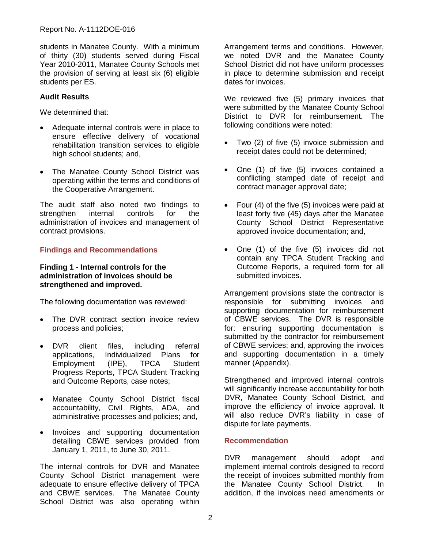students in Manatee County. With a minimum of thirty (30) students served during Fiscal Year 2010-2011, Manatee County Schools met the provision of serving at least six (6) eligible students per ES.

#### **Audit Results**

We determined that:

- Adequate internal controls were in place to ensure effective delivery of vocational rehabilitation transition services to eligible high school students; and,
- The Manatee County School District was operating within the terms and conditions of the Cooperative Arrangement.

The audit staff also noted two findings to strengthen internal controls for the administration of invoices and management of contract provisions.

#### **Findings and Recommendations**

#### **Finding 1 - Internal controls for the administration of invoices should be strengthened and improved.**

The following documentation was reviewed:

- The DVR contract section invoice review process and policies;
- DVR client files, including referral applications, Individualized Plans for Employment (IPE), TPCA Student Progress Reports, TPCA Student Tracking and Outcome Reports, case notes;
- Manatee County School District fiscal accountability, Civil Rights, ADA, and administrative processes and policies; and,
- Invoices and supporting documentation detailing CBWE services provided from January 1, 2011, to June 30, 2011.

The internal controls for DVR and Manatee County School District management were adequate to ensure effective delivery of TPCA and CBWE services. The Manatee County School District was also operating within Arrangement terms and conditions. However, we noted DVR and the Manatee County School District did not have uniform processes in place to determine submission and receipt dates for invoices.

We reviewed five (5) primary invoices that were submitted by the Manatee County School District to DVR for reimbursement. The following conditions were noted:

- Two (2) of five (5) invoice submission and receipt dates could not be determined;
- One (1) of five (5) invoices contained a conflicting stamped date of receipt and contract manager approval date;
- Four (4) of the five (5) invoices were paid at least forty five (45) days after the Manatee County School District Representative approved invoice documentation; and,
- One (1) of the five (5) invoices did not contain any TPCA Student Tracking and Outcome Reports, a required form for all submitted invoices.

Arrangement provisions state the contractor is responsible for submitting invoices and supporting documentation for reimbursement of CBWE services. The DVR is responsible for: ensuring supporting documentation is submitted by the contractor for reimbursement of CBWE services; and, approving the invoices and supporting documentation in a timely manner (Appendix).

Strengthened and improved internal controls will significantly increase accountability for both DVR, Manatee County School District, and improve the efficiency of invoice approval. It will also reduce DVR's liability in case of dispute for late payments.

#### **Recommendation**

DVR management should adopt and implement internal controls designed to record the receipt of invoices submitted monthly from the Manatee County School District. In addition, if the invoices need amendments or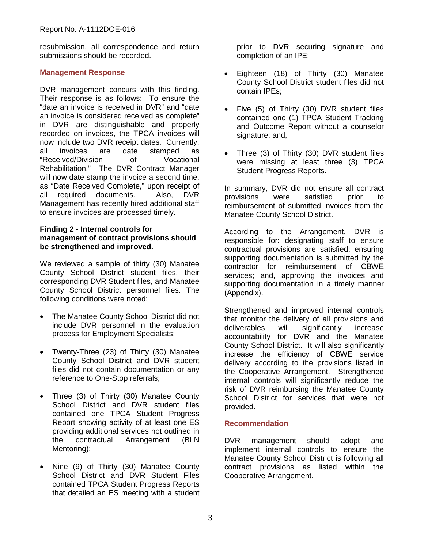resubmission, all correspondence and return submissions should be recorded.

#### **Management Response**

DVR management concurs with this finding. Their response is as follows: To ensure the "date an invoice is received in DVR" and "date an invoice is considered received as complete" in DVR are distinguishable and properly recorded on invoices, the TPCA invoices will now include two DVR receipt dates. Currently, all invoices are date stamped as "Received/Division of Vocational Rehabilitation." The DVR Contract Manager will now date stamp the invoice a second time, as "Date Received Complete," upon receipt of<br>all required documents. Also, DVR all required documents. Management has recently hired additional staff to ensure invoices are processed timely.

#### **Finding 2 - Internal controls for management of contract provisions should be strengthened and improved.**

We reviewed a sample of thirty (30) Manatee County School District student files, their corresponding DVR Student files, and Manatee County School District personnel files. The following conditions were noted:

- The Manatee County School District did not include DVR personnel in the evaluation process for Employment Specialists;
- Twenty-Three (23) of Thirty (30) Manatee County School District and DVR student files did not contain documentation or any reference to One-Stop referrals;
- Three (3) of Thirty (30) Manatee County School District and DVR student files contained one TPCA Student Progress Report showing activity of at least one ES providing additional services not outlined in the contractual Arrangement (BLN Mentoring);
- Nine (9) of Thirty (30) Manatee County School District and DVR Student Files contained TPCA Student Progress Reports that detailed an ES meeting with a student

prior to DVR securing signature and completion of an IPE;

- Eighteen (18) of Thirty (30) Manatee County School District student files did not contain IPEs;
- Five (5) of Thirty (30) DVR student files contained one (1) TPCA Student Tracking and Outcome Report without a counselor signature; and,
- Three (3) of Thirty (30) DVR student files were missing at least three (3) TPCA Student Progress Reports.

In summary, DVR did not ensure all contract provisions were satisfied prior to reimbursement of submitted invoices from the Manatee County School District.

According to the Arrangement, DVR is responsible for: designating staff to ensure contractual provisions are satisfied; ensuring supporting documentation is submitted by the contractor for reimbursement of CBWE services; and, approving the invoices and supporting documentation in a timely manner (Appendix).

Strengthened and improved internal controls that monitor the delivery of all provisions and deliverables will significantly increase accountability for DVR and the Manatee County School District. It will also significantly increase the efficiency of CBWE service delivery according to the provisions listed in the Cooperative Arrangement. Strengthened internal controls will significantly reduce the risk of DVR reimbursing the Manatee County School District for services that were not provided.

#### **Recommendation**

DVR management should adopt and implement internal controls to ensure the Manatee County School District is following all contract provisions as listed within the Cooperative Arrangement.